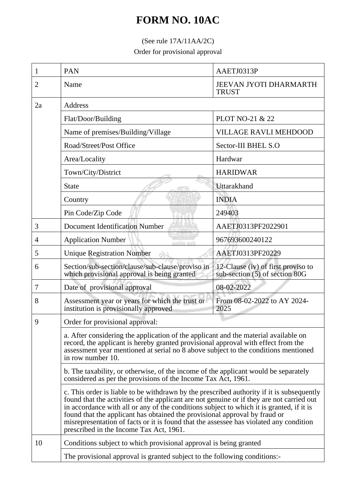## **FORM NO. 10AC**

## (See rule 17A/11AA/2C)

Order for provisional approval

| 1  | <b>PAN</b>                                                                                                                                                                                                                                                                                                                                                                                                                                                                                            | AAETJ0313P                                                                          |  |
|----|-------------------------------------------------------------------------------------------------------------------------------------------------------------------------------------------------------------------------------------------------------------------------------------------------------------------------------------------------------------------------------------------------------------------------------------------------------------------------------------------------------|-------------------------------------------------------------------------------------|--|
| 2  | Name                                                                                                                                                                                                                                                                                                                                                                                                                                                                                                  | <b>JEEVAN JYOTI DHARMARTH</b><br><b>TRUST</b>                                       |  |
| 2a | Address                                                                                                                                                                                                                                                                                                                                                                                                                                                                                               |                                                                                     |  |
|    | Flat/Door/Building                                                                                                                                                                                                                                                                                                                                                                                                                                                                                    | PLOT NO-21 & 22                                                                     |  |
|    | Name of premises/Building/Village                                                                                                                                                                                                                                                                                                                                                                                                                                                                     | <b>VILLAGE RAVLI MEHDOOD</b>                                                        |  |
|    | Road/Street/Post Office                                                                                                                                                                                                                                                                                                                                                                                                                                                                               | Sector-III BHEL S.O                                                                 |  |
|    | Area/Locality                                                                                                                                                                                                                                                                                                                                                                                                                                                                                         | Hardwar                                                                             |  |
|    | Town/City/District                                                                                                                                                                                                                                                                                                                                                                                                                                                                                    | <b>HARIDWAR</b>                                                                     |  |
|    | <b>State</b>                                                                                                                                                                                                                                                                                                                                                                                                                                                                                          | Uttarakhand                                                                         |  |
|    | Country                                                                                                                                                                                                                                                                                                                                                                                                                                                                                               | <b>INDIA</b>                                                                        |  |
|    | Pin Code/Zip Code                                                                                                                                                                                                                                                                                                                                                                                                                                                                                     | 249403                                                                              |  |
| 3  | <b>Document Identification Number</b>                                                                                                                                                                                                                                                                                                                                                                                                                                                                 | AAETJ0313PF2022901                                                                  |  |
| 4  | <b>Application Number</b><br>mendesi zim                                                                                                                                                                                                                                                                                                                                                                                                                                                              | 967693600240122                                                                     |  |
| 5  | <b>Unique Registration Number</b>                                                                                                                                                                                                                                                                                                                                                                                                                                                                     | AAETJ0313PF20229                                                                    |  |
| 6  | Section/sub-section/clause/sub-clause/proviso in<br>which provisional approval is being granted                                                                                                                                                                                                                                                                                                                                                                                                       | 12-Clause (iv) of first proviso to<br>sub-section (5) of section 80G                |  |
| 7  | Date of provisional approval                                                                                                                                                                                                                                                                                                                                                                                                                                                                          | 08-02-2022                                                                          |  |
| 8  | Assessment year or years for which the trust or<br>institution is provisionally approved                                                                                                                                                                                                                                                                                                                                                                                                              | From 08-02-2022 to AY 2024-<br>2025                                                 |  |
| 9  | Order for provisional approval:                                                                                                                                                                                                                                                                                                                                                                                                                                                                       |                                                                                     |  |
|    | a. After considering the application of the applicant and the material available on<br>record, the applicant is hereby granted provisional approval with effect from the<br>assessment year mentioned at serial no 8 above subject to the conditions mentioned<br>in row number 10.                                                                                                                                                                                                                   |                                                                                     |  |
|    | considered as per the provisions of the Income Tax Act, 1961.                                                                                                                                                                                                                                                                                                                                                                                                                                         | b. The taxability, or otherwise, of the income of the applicant would be separately |  |
|    | c. This order is liable to be withdrawn by the prescribed authority if it is subsequently<br>found that the activities of the applicant are not genuine or if they are not carried out<br>in accordance with all or any of the conditions subject to which it is granted, if it is<br>found that the applicant has obtained the provisional approval by fraud or<br>misrepresentation of facts or it is found that the assessee has violated any condition<br>prescribed in the Income Tax Act, 1961. |                                                                                     |  |
| 10 | Conditions subject to which provisional approval is being granted                                                                                                                                                                                                                                                                                                                                                                                                                                     |                                                                                     |  |
|    | The provisional approval is granted subject to the following conditions:-                                                                                                                                                                                                                                                                                                                                                                                                                             |                                                                                     |  |